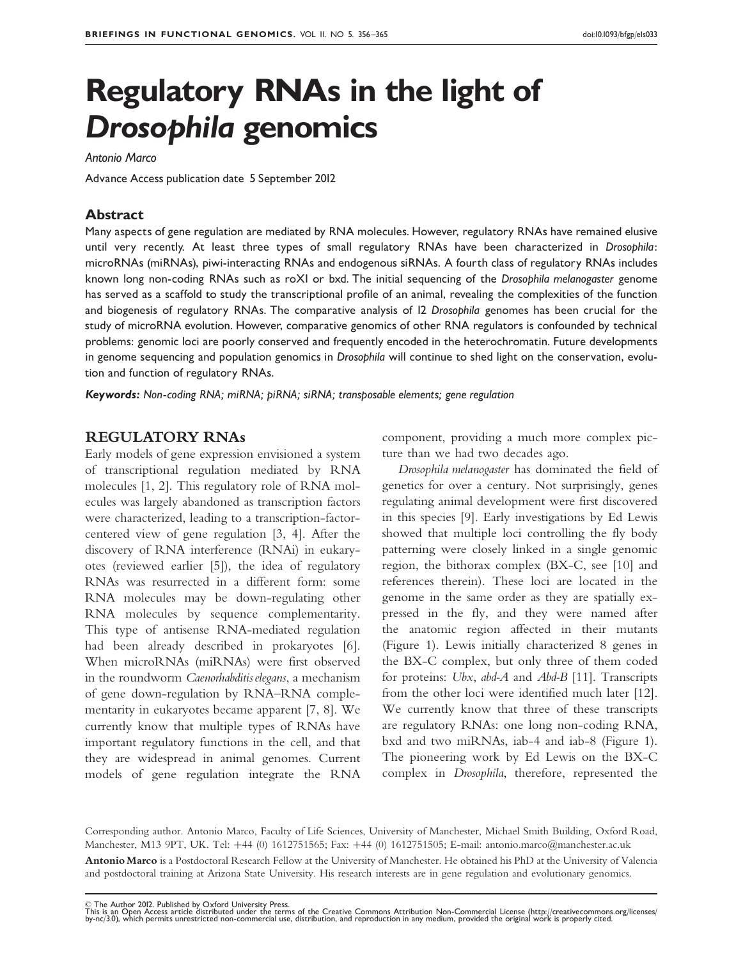# Regulatory RNAs in the light of Drosophila genomics

#### Antonio Marco

Advance Access publication date 5 September 2012

## Abstract

Many aspects of gene regulation are mediated by RNA molecules. However, regulatory RNAs have remained elusive until very recently. At least three types of small regulatory RNAs have been characterized in Drosophila: microRNAs (miRNAs), piwi-interacting RNAs and endogenous siRNAs. A fourth class of regulatory RNAs includes known long non-coding RNAs such as roX1 or bxd. The initial sequencing of the Drosophila melanogaster genome has served as a scaffold to study the transcriptional profile of an animal, revealing the complexities of the function and biogenesis of regulatory RNAs. The comparative analysis of 12 Drosophila genomes has been crucial for the study of microRNA evolution. However, comparative genomics of other RNA regulators is confounded by technical problems: genomic loci are poorly conserved and frequently encoded in the heterochromatin. Future developments in genome sequencing and population genomics in Drosophila will continue to shed light on the conservation, evolution and function of regulatory RNAs.

Keywords: Non-coding RNA; miRNA; piRNA; siRNA; transposable elements; gene regulation

## REGULATORY RNAs

Early models of gene expression envisioned a system of transcriptional regulation mediated by RNA molecules [\[1, 2](#page-6-0)]. This regulatory role of RNA molecules was largely abandoned as transcription factors were characterized, leading to a transcription-factorcentered view of gene regulation [[3](#page-6-0), [4](#page-6-0)]. After the discovery of RNA interference (RNAi) in eukaryotes (reviewed earlier [\[5\]](#page-6-0)), the idea of regulatory RNAs was resurrected in a different form: some RNA molecules may be down-regulating other RNA molecules by sequence complementarity. This type of antisense RNA-mediated regulation had been already described in prokaryotes [[6](#page-6-0)]. When microRNAs (miRNAs) were first observed in the roundworm Caenorhabditis elegans, a mechanism of gene down-regulation by RNA–RNA complementarity in eukaryotes became apparent [\[7, 8](#page-7-0)]. We currently know that multiple types of RNAs have important regulatory functions in the cell, and that they are widespread in animal genomes. Current models of gene regulation integrate the RNA

component, providing a much more complex picture than we had two decades ago.

Drosophila melanogaster has dominated the field of genetics for over a century. Not surprisingly, genes regulating animal development were first discovered in this species [[9](#page-7-0)]. Early investigations by Ed Lewis showed that multiple loci controlling the fly body patterning were closely linked in a single genomic region, the bithorax complex (BX-C, see [\[10](#page-7-0)] and references therein). These loci are located in the genome in the same order as they are spatially expressed in the fly, and they were named after the anatomic region affected in their mutants [\(Figure 1](#page-1-0)). Lewis initially characterized 8 genes in the BX-C complex, but only three of them coded for proteins: Ubx, abd-A and Abd-B [[11\]](#page-7-0). Transcripts from the other loci were identified much later [[12](#page-7-0)]. We currently know that three of these transcripts are regulatory RNAs: one long non-coding RNA, bxd and two miRNAs, iab-4 and iab-8 [\(Figure 1](#page-1-0)). The pioneering work by Ed Lewis on the BX-C complex in Drosophila, therefore, represented the

Antonio Marco is a Postdoctoral Research Fellow at the University of Manchester. He obtained his PhD at the University of Valencia and postdoctoral training at Arizona State University. His research interests are in gene regulation and evolutionary genomics. Corresponding author. Antonio Marco, Faculty of Life Sciences, University of Manchester, Michael Smith Building, Oxford Road, Manchester, M13 9PT, UK. Tel: +44 (0) 1612751565; Fax: +44 (0) 1612751505; E-mail: antonio.marco@manchester.ac.uk

<sup>©</sup> The Author 2012. Published by Oxford University Press.<br>This is an Open Access article distributed under the Irenns of the Creative Commons Attribution Non-Commercial License (http://creativecommons.org/licenses/<br>by-nc/3.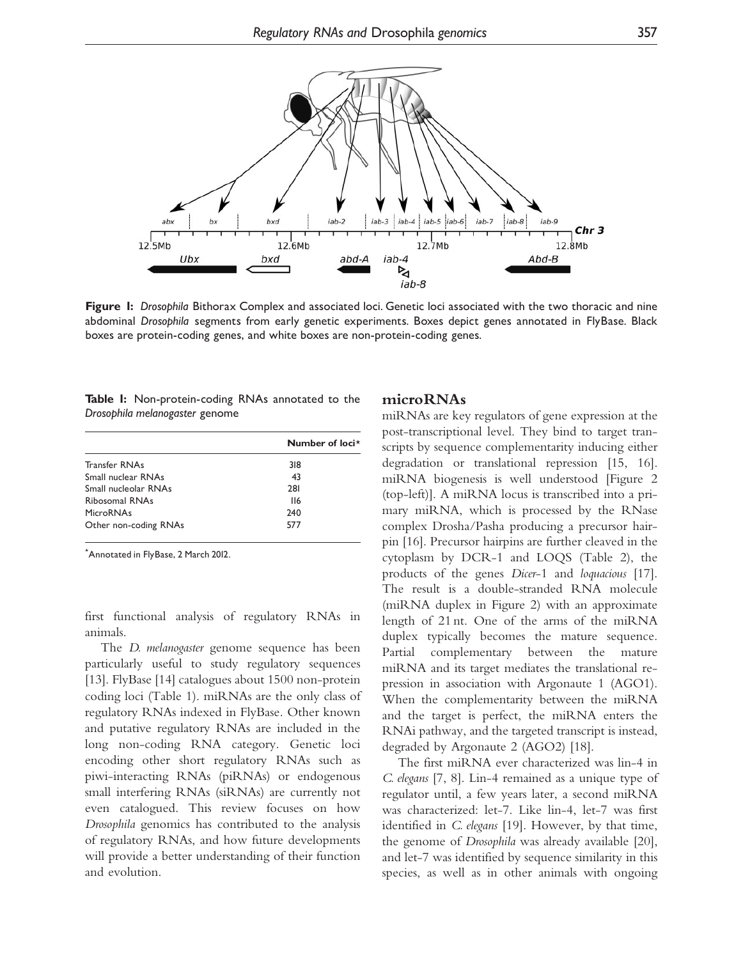<span id="page-1-0"></span>

Figure 1: Drosophila Bithorax Complex and associated loci. Genetic loci associated with the two thoracic and nine abdominal Drosophila segments from early genetic experiments. Boxes depict genes annotated in FlyBase. Black boxes are protein-coding genes, and white boxes are non-protein-coding genes.

|  | Table I: Non-protein-coding RNAs annotated to the |  |  |  |
|--|---------------------------------------------------|--|--|--|
|  | Drosophila melanogaster genome                    |  |  |  |

|                       | Number of loci* |
|-----------------------|-----------------|
| <b>Transfer RNAs</b>  | 318             |
| Small nuclear RNAs    | 43              |
| Small nucleolar RNAs  | 281             |
| Ribosomal RNAs        | 116             |
| <b>MicroRNAs</b>      | 240             |
| Other non-coding RNAs | 577             |

\* Annotated in FlyBase, 2 March 2012.

first functional analysis of regulatory RNAs in animals.

The *D. melanogaster* genome sequence has been particularly useful to study regulatory sequences [\[13\]](#page-7-0). FlyBase [[14\]](#page-7-0) catalogues about 1500 non-protein coding loci (Table 1). miRNAs are the only class of regulatory RNAs indexed in FlyBase. Other known and putative regulatory RNAs are included in the long non-coding RNA category. Genetic loci encoding other short regulatory RNAs such as piwi-interacting RNAs (piRNAs) or endogenous small interfering RNAs (siRNAs) are currently not even catalogued. This review focuses on how Drosophila genomics has contributed to the analysis of regulatory RNAs, and how future developments will provide a better understanding of their function and evolution.

## microRNAs

miRNAs are key regulators of gene expression at the post-transcriptional level. They bind to target transcripts by sequence complementarity inducing either degradation or translational repression [\[15, 16](#page-7-0)]. miRNA biogenesis is well understood [[Figure 2](#page-2-0) (top-left)]. A miRNA locus is transcribed into a primary miRNA, which is processed by the RNase complex Drosha/Pasha producing a precursor hairpin [\[16\]](#page-7-0). Precursor hairpins are further cleaved in the cytoplasm by DCR-1 and LOQS ([Table 2\)](#page-3-0), the products of the genes Dicer-1 and loquacious [[17](#page-7-0)]. The result is a double-stranded RNA molecule (miRNA duplex in [Figure 2\)](#page-2-0) with an approximate length of 21 nt. One of the arms of the miRNA duplex typically becomes the mature sequence. Partial complementary between the mature miRNA and its target mediates the translational repression in association with Argonaute 1 (AGO1). When the complementarity between the miRNA and the target is perfect, the miRNA enters the RNAi pathway, and the targeted transcript is instead, degraded by Argonaute 2 (AGO2) [\[18\]](#page-7-0).

The first miRNA ever characterized was lin-4 in C. elegans [\[7](#page-7-0), [8](#page-7-0)]. Lin-4 remained as a unique type of regulator until, a few years later, a second miRNA was characterized: let-7. Like lin-4, let-7 was first identified in C. elegans [\[19](#page-7-0)]. However, by that time, the genome of Drosophila was already available [[20](#page-7-0)], and let-7 was identified by sequence similarity in this species, as well as in other animals with ongoing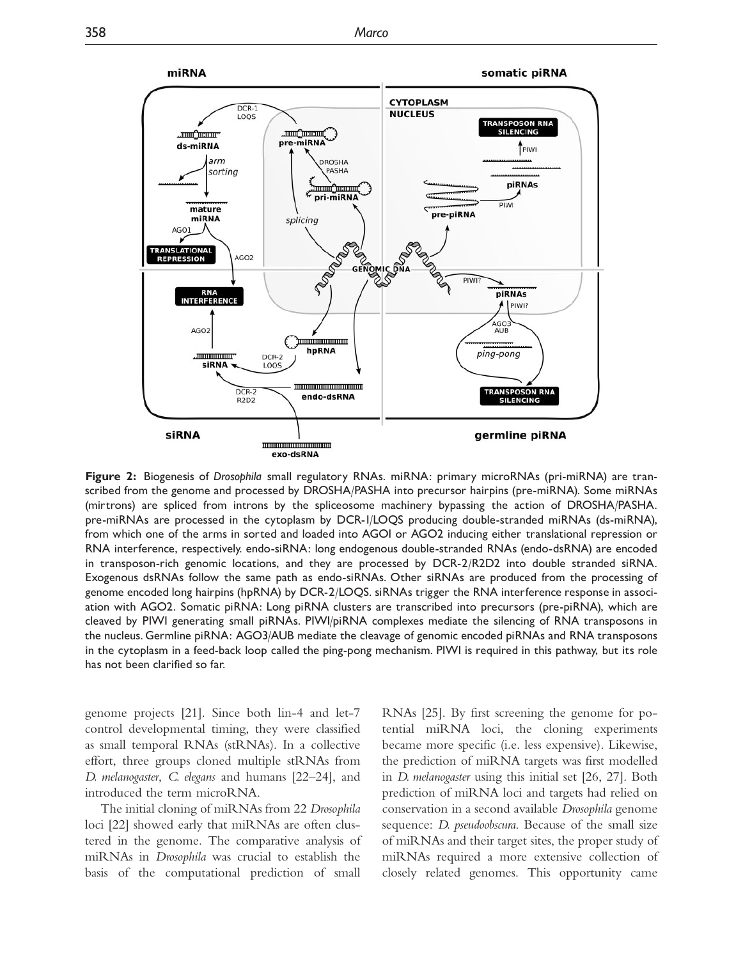<span id="page-2-0"></span>

Figure 2: Biogenesis of Drosophila small regulatory RNAs. miRNA: primary microRNAs (pri-miRNA) are transcribed from the genome and processed by DROSHA/PASHA into precursor hairpins (pre-miRNA). Some miRNAs (mirtrons) are spliced from introns by the spliceosome machinery bypassing the action of DROSHA/PASHA. pre-miRNAs are processed in the cytoplasm by DCR-1/LOQS producing double-stranded miRNAs (ds-miRNA), from which one of the arms in sorted and loaded into AGO1 or AGO2 inducing either translational repression or RNA interference, respectively. endo-siRNA: long endogenous double-stranded RNAs (endo-dsRNA) are encoded in transposon-rich genomic locations, and they are processed by DCR-2/R2D2 into double stranded siRNA. Exogenous dsRNAs follow the same path as endo-siRNAs. Other siRNAs are produced from the processing of genome encoded long hairpins (hpRNA) by DCR-2/LOQS. siRNAs trigger the RNA interference response in association with AGO2. Somatic piRNA: Long piRNA clusters are transcribed into precursors (pre-piRNA), which are cleaved by PIWI generating small piRNAs. PIWI/piRNA complexes mediate the silencing of RNA transposons in the nucleus. Germline piRNA: AGO3/AUB mediate the cleavage of genomic encoded piRNAs and RNA transposons in the cytoplasm in a feed-back loop called the ping-pong mechanism. PIWI is required in this pathway, but its role has not been clarified so far.

genome projects [[21](#page-7-0)]. Since both lin-4 and let-7 control developmental timing, they were classified as small temporal RNAs (stRNAs). In a collective effort, three groups cloned multiple stRNAs from D. melanogaster, C. elegans and humans [[22–24\]](#page-7-0), and introduced the term microRNA.

The initial cloning of miRNAs from 22 Drosophila loci [[22](#page-7-0)] showed early that miRNAs are often clustered in the genome. The comparative analysis of miRNAs in Drosophila was crucial to establish the basis of the computational prediction of small

RNAs [[25\]](#page-7-0). By first screening the genome for potential miRNA loci, the cloning experiments became more specific (i.e. less expensive). Likewise, the prediction of miRNA targets was first modelled in D. melanogaster using this initial set [[26, 27\]](#page-7-0). Both prediction of miRNA loci and targets had relied on conservation in a second available Drosophila genome sequence: *D. pseudoobscura*. Because of the small size of miRNAs and their target sites, the proper study of miRNAs required a more extensive collection of closely related genomes. This opportunity came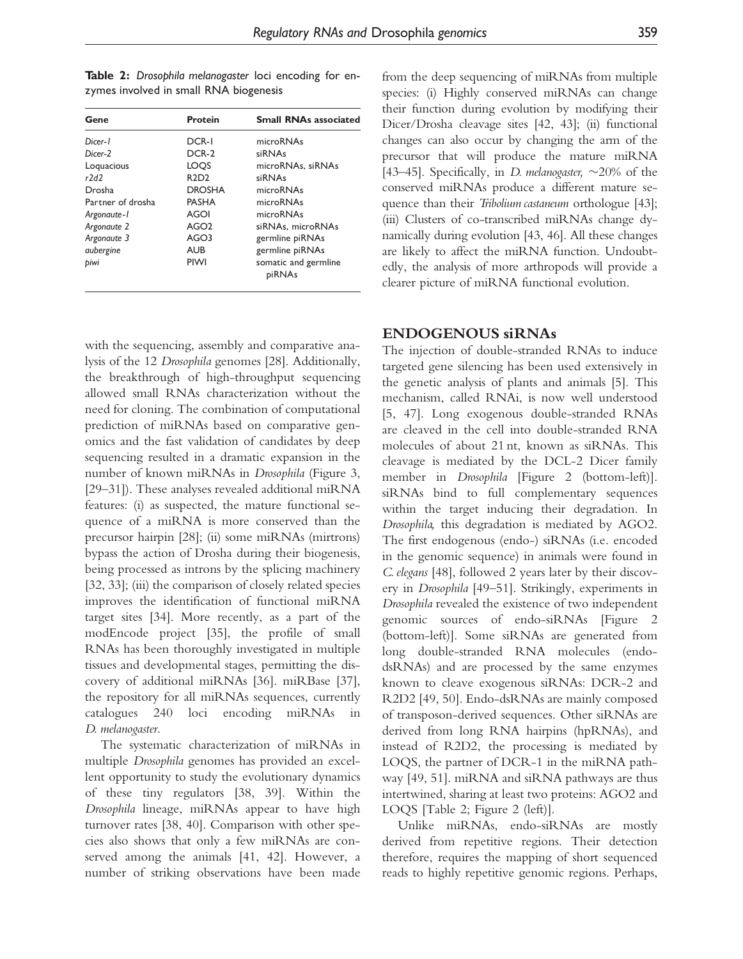| Gene                                                                                                                              | <b>Protein</b>                                                                                                    | <b>Small RNAs associated</b>                                                                                                                         |
|-----------------------------------------------------------------------------------------------------------------------------------|-------------------------------------------------------------------------------------------------------------------|------------------------------------------------------------------------------------------------------------------------------------------------------|
| Dicer-1<br>Dicer-2<br>Loguacious<br>r7d7<br>Drosha<br>Partner of drosha<br>Argonaute-1<br>Argonaute 2<br>Argonaute 3<br>aubergine | DCR-I<br>DCR-2<br>LOOS<br>R2D2<br><b>DROSHA</b><br><b>PASHA</b><br>AGOI<br>AGO <sub>2</sub><br>AGO3<br><b>AUB</b> | microRNAs<br>siRNAs<br>microRNAs, siRNAs<br>siRNAs<br>microRNAs<br>microRNAs<br>microRNAs<br>siRNAs, microRNAs<br>germline piRNAs<br>germline piRNAs |
|                                                                                                                                   |                                                                                                                   |                                                                                                                                                      |
| biwi                                                                                                                              | <b>PIWI</b>                                                                                                       | somatic and germline<br>piRNAs                                                                                                                       |

<span id="page-3-0"></span>Table 2: Drosophila melanogaster loci encoding for enzymes involved in small RNA biogenesis

with the sequencing, assembly and comparative analysis of the 12 Drosophila genomes [\[28](#page-7-0)]. Additionally, the breakthrough of high-throughput sequencing allowed small RNAs characterization without the need for cloning. The combination of computational prediction of miRNAs based on comparative genomics and the fast validation of candidates by deep sequencing resulted in a dramatic expansion in the number of known miRNAs in Drosophila ([Figure 3](#page-4-0), [\[29–31](#page-7-0)]). These analyses revealed additional miRNA features: (i) as suspected, the mature functional sequence of a miRNA is more conserved than the precursor hairpin [\[28](#page-7-0)]; (ii) some miRNAs (mirtrons) bypass the action of Drosha during their biogenesis, being processed as introns by the splicing machinery [\[32, 33\]](#page-7-0); (iii) the comparison of closely related species improves the identification of functional miRNA target sites [[34](#page-7-0)]. More recently, as a part of the modEncode project [[35](#page-7-0)], the profile of small RNAs has been thoroughly investigated in multiple tissues and developmental stages, permitting the discovery of additional miRNAs [[36\]](#page-7-0). miRBase [[37](#page-7-0)], the repository for all miRNAs sequences, currently catalogues 240 loci encoding miRNAs in D. melanogaster.

The systematic characterization of miRNAs in multiple Drosophila genomes has provided an excellent opportunity to study the evolutionary dynamics of these tiny regulators [\[38](#page-7-0), [39](#page-7-0)]. Within the Drosophila lineage, miRNAs appear to have high turnover rates [\[38](#page-7-0), [40](#page-7-0)]. Comparison with other species also shows that only a few miRNAs are conserved among the animals [\[41, 42\]](#page-7-0). However, a number of striking observations have been made from the deep sequencing of miRNAs from multiple species: (i) Highly conserved miRNAs can change their function during evolution by modifying their Dicer/Drosha cleavage sites [\[42](#page-7-0), [43](#page-7-0)]; (ii) functional changes can also occur by changing the arm of the precursor that will produce the mature miRNA [43-45]. Specifically, in *D. melanogaster*,  $\sim$ 20% of the conserved miRNAs produce a different mature sequence than their *Tribolium castaneum* orthologue [\[43](#page-7-0)]; (iii) Clusters of co-transcribed miRNAs change dynamically during evolution [[43](#page-7-0), [46](#page-7-0)]. All these changes are likely to affect the miRNA function. Undoubtedly, the analysis of more arthropods will provide a clearer picture of miRNA functional evolution.

# ENDOGENOUS siRNAs

The injection of double-stranded RNAs to induce targeted gene silencing has been used extensively in the genetic analysis of plants and animals [\[5\]](#page-6-0). This mechanism, called RNAi, is now well understood [\[5,](#page-6-0) [47\]](#page-7-0). Long exogenous double-stranded RNAs are cleaved in the cell into double-stranded RNA molecules of about 21 nt, known as siRNAs. This cleavage is mediated by the DCL-2 Dicer family member in Drosophila [[Figure 2](#page-2-0) (bottom-left)]. siRNAs bind to full complementary sequences within the target inducing their degradation. In Drosophila, this degradation is mediated by AGO2. The first endogenous (endo-) siRNAs (i.e. encoded in the genomic sequence) in animals were found in C. elegans [\[48\]](#page-8-0), followed 2 years later by their discovery in Drosophila [[49–51\]](#page-8-0). Strikingly, experiments in Drosophila revealed the existence of two independent genomic sources of endo-siRNAs [\[Figure 2](#page-2-0) (bottom-left)]. Some siRNAs are generated from long double-stranded RNA molecules (endodsRNAs) and are processed by the same enzymes known to cleave exogenous siRNAs: DCR-2 and R2D2 [[49](#page-8-0), [50\]](#page-8-0). Endo-dsRNAs are mainly composed of transposon-derived sequences. Other siRNAs are derived from long RNA hairpins (hpRNAs), and instead of R2D2, the processing is mediated by LOQS, the partner of DCR-1 in the miRNA pathway [[49, 51\]](#page-8-0). miRNA and siRNA pathways are thus intertwined, sharing at least two proteins: AGO2 and LOQS [Table 2; [Figure 2](#page-2-0) (left)].

Unlike miRNAs, endo-siRNAs are mostly derived from repetitive regions. Their detection therefore, requires the mapping of short sequenced reads to highly repetitive genomic regions. Perhaps,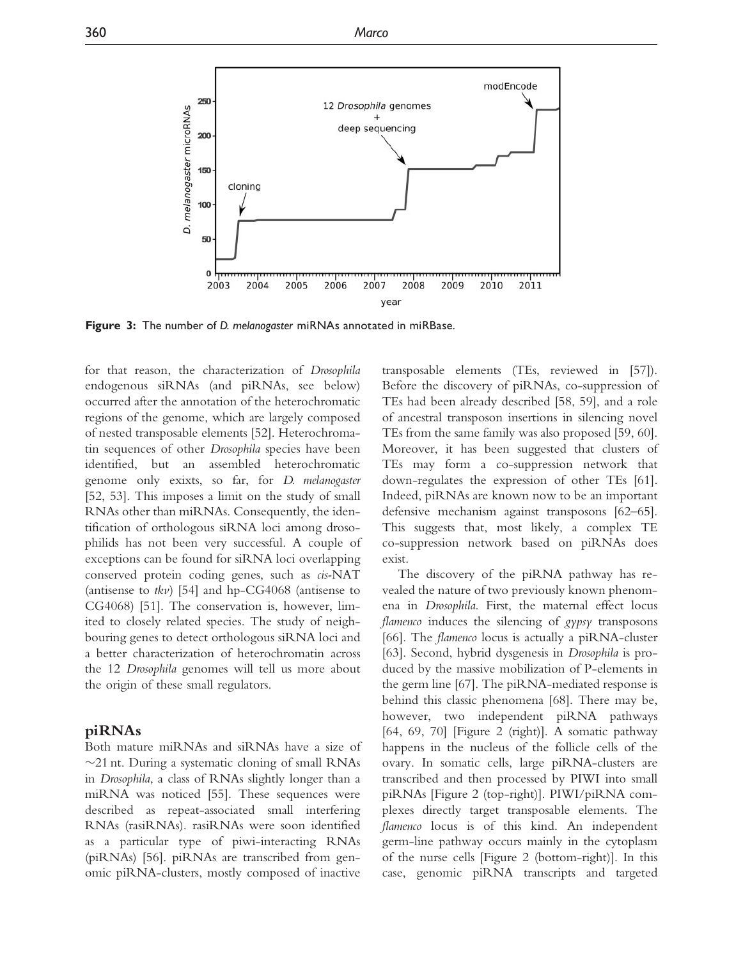<span id="page-4-0"></span>

**Figure 3:** The number of D. melanogaster miRNAs annotated in miRBase.

for that reason, the characterization of Drosophila endogenous siRNAs (and piRNAs, see below) occurred after the annotation of the heterochromatic regions of the genome, which are largely composed of nested transposable elements [\[52\]](#page-8-0). Heterochromatin sequences of other Drosophila species have been identified, but an assembled heterochromatic genome only exixts, so far, for D. melanogaster [\[52, 53](#page-8-0)]. This imposes a limit on the study of small RNAs other than miRNAs. Consequently, the identification of orthologous siRNA loci among drosophilids has not been very successful. A couple of exceptions can be found for siRNA loci overlapping conserved protein coding genes, such as cis-NAT (antisense to  $tkv$ ) [[54\]](#page-8-0) and hp-CG4068 (antisense to CG4068) [\[51](#page-8-0)]. The conservation is, however, limited to closely related species. The study of neighbouring genes to detect orthologous siRNA loci and a better characterization of heterochromatin across the 12 Drosophila genomes will tell us more about the origin of these small regulators.

#### piRNAs

Both mature miRNAs and siRNAs have a size of -21 nt. During a systematic cloning of small RNAs in Drosophila, a class of RNAs slightly longer than a miRNA was noticed [\[55](#page-8-0)]. These sequences were described as repeat-associated small interfering RNAs (rasiRNAs). rasiRNAs were soon identified as a particular type of piwi-interacting RNAs (piRNAs) [[56](#page-8-0)]. piRNAs are transcribed from genomic piRNA-clusters, mostly composed of inactive transposable elements (TEs, reviewed in [\[57](#page-8-0)]). Before the discovery of piRNAs, co-suppression of TEs had been already described [[58](#page-8-0), [59\]](#page-8-0), and a role of ancestral transposon insertions in silencing novel TEs from the same family was also proposed [\[59](#page-8-0), [60](#page-8-0)]. Moreover, it has been suggested that clusters of TEs may form a co-suppression network that down-regulates the expression of other TEs [[61](#page-8-0)]. Indeed, piRNAs are known now to be an important defensive mechanism against transposons [\[62–65](#page-8-0)]. This suggests that, most likely, a complex TE co-suppression network based on piRNAs does exist.

The discovery of the piRNA pathway has revealed the nature of two previously known phenomena in Drosophila. First, the maternal effect locus flamenco induces the silencing of gypsy transposons [\[66](#page-8-0)]. The flamenco locus is actually a piRNA-cluster [\[63](#page-8-0)]. Second, hybrid dysgenesis in Drosophila is produced by the massive mobilization of P-elements in the germ line [[67\]](#page-8-0). The piRNA-mediated response is behind this classic phenomena [[68\]](#page-8-0). There may be, however, two independent piRNA pathways [\[64](#page-8-0), [69](#page-8-0), [70\]](#page-8-0) [[Figure 2](#page-2-0) (right)]. A somatic pathway happens in the nucleus of the follicle cells of the ovary. In somatic cells, large piRNA-clusters are transcribed and then processed by PIWI into small piRNAs [\[Figure 2](#page-2-0) (top-right)]. PIWI/piRNA complexes directly target transposable elements. The flamenco locus is of this kind. An independent germ-line pathway occurs mainly in the cytoplasm of the nurse cells [[Figure 2](#page-2-0) (bottom-right)]. In this case, genomic piRNA transcripts and targeted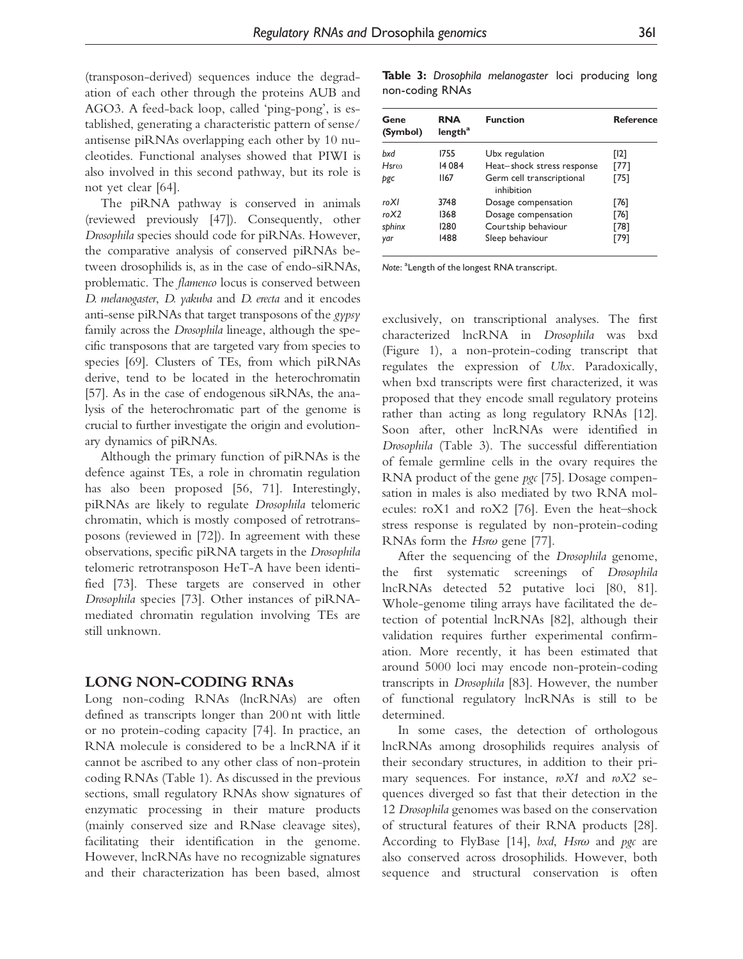(transposon-derived) sequences induce the degradation of each other through the proteins AUB and AGO3. A feed-back loop, called 'ping-pong', is established, generating a characteristic pattern of sense/ antisense piRNAs overlapping each other by 10 nucleotides. Functional analyses showed that PIWI is also involved in this second pathway, but its role is not yet clear [[64\]](#page-8-0).

The piRNA pathway is conserved in animals (reviewed previously [[47](#page-7-0)]). Consequently, other Drosophila species should code for piRNAs. However, the comparative analysis of conserved piRNAs between drosophilids is, as in the case of endo-siRNAs, problematic. The flamenco locus is conserved between D. melanogaster, D. yakuba and D. erecta and it encodes anti-sense piRNAs that target transposons of the gypsy family across the Drosophila lineage, although the specific transposons that are targeted vary from species to species [\[69\]](#page-8-0). Clusters of TEs, from which piRNAs derive, tend to be located in the heterochromatin [\[57\]](#page-8-0). As in the case of endogenous siRNAs, the analysis of the heterochromatic part of the genome is crucial to further investigate the origin and evolutionary dynamics of piRNAs.

Although the primary function of piRNAs is the defence against TEs, a role in chromatin regulation has also been proposed [[56, 71](#page-8-0)]. Interestingly, piRNAs are likely to regulate Drosophila telomeric chromatin, which is mostly composed of retrotransposons (reviewed in [\[72](#page-8-0)]). In agreement with these observations, specific piRNA targets in the Drosophila telomeric retrotransposon HeT-A have been identified [\[73](#page-8-0)]. These targets are conserved in other Drosophila species [\[73](#page-8-0)]. Other instances of piRNAmediated chromatin regulation involving TEs are still unknown.

#### LONG NON-CODING RNAs

Long non-coding RNAs (lncRNAs) are often defined as transcripts longer than 200 nt with little or no protein-coding capacity [\[74](#page-8-0)]. In practice, an RNA molecule is considered to be a lncRNA if it cannot be ascribed to any other class of non-protein coding RNAs ([Table 1](#page-1-0)). As discussed in the previous sections, small regulatory RNAs show signatures of enzymatic processing in their mature products (mainly conserved size and RNase cleavage sites), facilitating their identification in the genome. However, lncRNAs have no recognizable signatures and their characterization has been based, almost

Table 3: Drosophila melanogaster loci producing long non-coding RNAs

| Gene<br>(Symbol) | <b>RNA</b><br>length <sup>a</sup> | <b>Function</b>                         | <b>Reference</b> |
|------------------|-----------------------------------|-----------------------------------------|------------------|
| bxd              | 1755                              | Ubx regulation                          | [12]             |
| Hsr <sub>0</sub> | 14084                             | Heat-shock stress response              | [77]             |
| pgc              | 1167                              | Germ cell transcriptional<br>inhibition | [75]             |
| roXI             | 3748                              | Dosage compensation                     | [76]             |
| roX2             | 1368                              | Dosage compensation                     | [76]             |
| sphinx           | 1280                              | Courtship behaviour                     | [78]             |
| yar              | 1488                              | Sleep behaviour                         | [79]             |

Note: <sup>a</sup> Length of the longest RNA transcript.

exclusively, on transcriptional analyses. The first characterized lncRNA in Drosophila was bxd [\(Figure 1\)](#page-1-0), a non-protein-coding transcript that regulates the expression of Ubx. Paradoxically, when bxd transcripts were first characterized, it was proposed that they encode small regulatory proteins rather than acting as long regulatory RNAs [[12](#page-7-0)]. Soon after, other lncRNAs were identified in Drosophila (Table 3). The successful differentiation of female germline cells in the ovary requires the RNA product of the gene pgc [\[75\]](#page-8-0). Dosage compensation in males is also mediated by two RNA molecules: roX1 and roX2 [\[76\]](#page-8-0). Even the heat–shock stress response is regulated by non-protein-coding RNAs form the  $Hsr\omega$  gene [\[77\]](#page-8-0).

After the sequencing of the Drosophila genome, the first systematic screenings of Drosophila lncRNAs detected 52 putative loci [[80, 81](#page-8-0)]. Whole-genome tiling arrays have facilitated the detection of potential lncRNAs [[82\]](#page-8-0), although their validation requires further experimental confirmation. More recently, it has been estimated that around 5000 loci may encode non-protein-coding transcripts in Drosophila [[83](#page-8-0)]. However, the number of functional regulatory lncRNAs is still to be determined.

In some cases, the detection of orthologous lncRNAs among drosophilids requires analysis of their secondary structures, in addition to their primary sequences. For instance,  $nX1$  and  $nX2$  sequences diverged so fast that their detection in the 12 Drosophila genomes was based on the conservation of structural features of their RNA products [[28](#page-7-0)]. According to FlyBase [[14](#page-7-0)], bxd, Hsr $\omega$  and pgc are also conserved across drosophilids. However, both sequence and structural conservation is often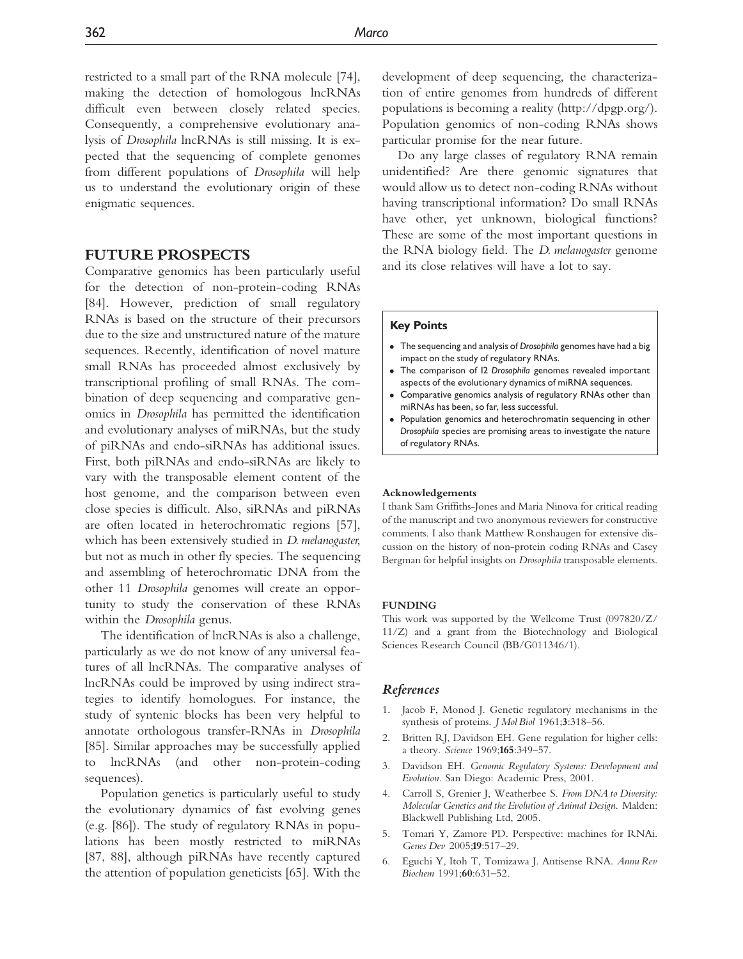<span id="page-6-0"></span>restricted to a small part of the RNA molecule [[74](#page-8-0)], making the detection of homologous lncRNAs difficult even between closely related species. Consequently, a comprehensive evolutionary analysis of Drosophila lncRNAs is still missing. It is expected that the sequencing of complete genomes from different populations of Drosophila will help us to understand the evolutionary origin of these enigmatic sequences.

#### FUTURE PROSPECTS

Comparative genomics has been particularly useful for the detection of non-protein-coding RNAs [\[84\]](#page-8-0). However, prediction of small regulatory RNAs is based on the structure of their precursors due to the size and unstructured nature of the mature sequences. Recently, identification of novel mature small RNAs has proceeded almost exclusively by transcriptional profiling of small RNAs. The combination of deep sequencing and comparative genomics in Drosophila has permitted the identification and evolutionary analyses of miRNAs, but the study of piRNAs and endo-siRNAs has additional issues. First, both piRNAs and endo-siRNAs are likely to vary with the transposable element content of the host genome, and the comparison between even close species is difficult. Also, siRNAs and piRNAs are often located in heterochromatic regions [[57](#page-8-0)], which has been extensively studied in *D. melanogaster*, but not as much in other fly species. The sequencing and assembling of heterochromatic DNA from the other 11 Drosophila genomes will create an opportunity to study the conservation of these RNAs within the Drosophila genus.

The identification of lncRNAs is also a challenge, particularly as we do not know of any universal features of all lncRNAs. The comparative analyses of lncRNAs could be improved by using indirect strategies to identify homologues. For instance, the study of syntenic blocks has been very helpful to annotate orthologous transfer-RNAs in Drosophila [\[85\]](#page-9-0). Similar approaches may be successfully applied to lncRNAs (and other non-protein-coding sequences).

Population genetics is particularly useful to study the evolutionary dynamics of fast evolving genes (e.g. [\[86](#page-9-0)]). The study of regulatory RNAs in populations has been mostly restricted to miRNAs [\[87, 88](#page-9-0)], although piRNAs have recently captured the attention of population geneticists [\[65](#page-8-0)]. With the development of deep sequencing, the characterization of entire genomes from hundreds of different populations is becoming a reality (<http://dpgp.org/>). Population genomics of non-coding RNAs shows particular promise for the near future.

Do any large classes of regulatory RNA remain unidentified? Are there genomic signatures that would allow us to detect non-coding RNAs without having transcriptional information? Do small RNAs have other, yet unknown, biological functions? These are some of the most important questions in the RNA biology field. The D. melanogaster genome and its close relatives will have a lot to say.

#### Key Points

- The sequencing and analysis of Drosophila genomes have had a big impact on the study of regulatory RNAs.
- The comparison of 12 Drosophila genomes revealed important aspects of the evolutionary dynamics of miRNA sequences.
- Comparative genomics analysis of regulatory RNAs other than miRNAs has been, so far, less successful.
- Population genomics and heterochromatin sequencing in other Drosophila species are promising areas to investigate the nature of regulatory RNAs.

#### Acknowledgements

I thank Sam Griffiths-Jones and Maria Ninova for critical reading of the manuscript and two anonymous reviewers for constructive comments. I also thank Matthew Ronshaugen for extensive discussion on the history of non-protein coding RNAs and Casey Bergman for helpful insights on Drosophila transposable elements.

#### **FUNDING**

This work was supported by the Wellcome Trust (097820/Z/ 11/Z) and a grant from the Biotechnology and Biological Sciences Research Council (BB/G011346/1).

#### References

- 1. Jacob F, Monod J. Genetic regulatory mechanisms in the synthesis of proteins. *J Mol Biol* 1961;3:318-56.
- 2. Britten RJ, Davidson EH. Gene regulation for higher cells: a theory. Science 1969;165:349–57.
- 3. Davidson EH. Genomic Regulatory Systems: Development and Evolution. San Diego: Academic Press, 2001.
- 4. Carroll S, Grenier J, Weatherbee S. From DNA to Diversity: Molecular Genetics and the Evolution of Animal Design. Malden: Blackwell Publishing Ltd, 2005.
- 5. Tomari Y, Zamore PD. Perspective: machines for RNAi. Genes Dev 2005;19:517–29.
- 6. Eguchi Y, Itoh T, Tomizawa J. Antisense RNA. Annu Rev Biochem 1991;60:631–52.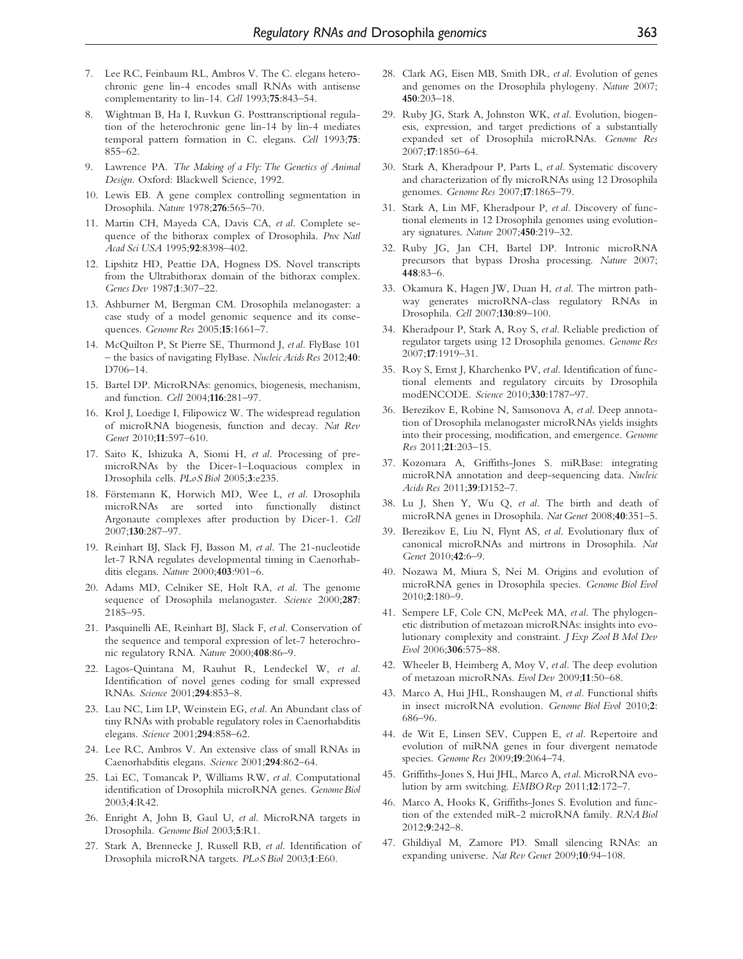- <span id="page-7-0"></span>7. Lee RC, Feinbaum RL, Ambros V. The C. elegans heterochronic gene lin-4 encodes small RNAs with antisense complementarity to lin-14. Cell 1993;75:843–54.
- 8. Wightman B, Ha I, Ruvkun G. Posttranscriptional regulation of the heterochronic gene lin-14 by lin-4 mediates temporal pattern formation in C. elegans. Cell 1993;75: 855–62.
- 9. Lawrence PA. The Making of a Fly: The Genetics of Animal Design. Oxford: Blackwell Science, 1992.
- 10. Lewis EB. A gene complex controlling segmentation in Drosophila. Nature 1978;276:565–70.
- 11. Martin CH, Mayeda CA, Davis CA, et al. Complete sequence of the bithorax complex of Drosophila. Proc Natl Acad Sci USA 1995;92:8398–402.
- 12. Lipshitz HD, Peattie DA, Hogness DS. Novel transcripts from the Ultrabithorax domain of the bithorax complex. Genes Dev 1987;1:307–22.
- 13. Ashburner M, Bergman CM. Drosophila melanogaster: a case study of a model genomic sequence and its consequences. Genome Res 2005;15:1661–7.
- 14. McQuilton P, St Pierre SE, Thurmond J, et al. FlyBase 101 – the basics of navigating FlyBase. Nucleic Acids Res 2012;40: D706–14.
- 15. Bartel DP. MicroRNAs: genomics, biogenesis, mechanism, and function. Cell 2004;116:281–97.
- 16. Krol J, Loedige I, Filipowicz W. The widespread regulation of microRNA biogenesis, function and decay. Nat Rev Genet 2010;11:597–610.
- 17. Saito K, Ishizuka A, Siomi H, et al. Processing of premicroRNAs by the Dicer-1–Loquacious complex in Drosophila cells. PLoS Biol 2005;3:e235.
- 18. Förstemann K, Horwich MD, Wee L, et al. Drosophila microRNAs are sorted into functionally distinct Argonaute complexes after production by Dicer-1. Cell 2007;130:287–97.
- 19. Reinhart BJ, Slack FJ, Basson M, et al. The 21-nucleotide let-7 RNA regulates developmental timing in Caenorhabditis elegans. Nature 2000;403:901–6.
- 20. Adams MD, Celniker SE, Holt RA, et al. The genome sequence of Drosophila melanogaster. Science 2000;287: 2185–95.
- 21. Pasquinelli AE, Reinhart BJ, Slack F, et al. Conservation of the sequence and temporal expression of let-7 heterochronic regulatory RNA. Nature 2000;408:86–9.
- 22. Lagos-Quintana M, Rauhut R, Lendeckel W, et al. Identification of novel genes coding for small expressed RNAs. Science 2001;294:853–8.
- 23. Lau NC, Lim LP, Weinstein EG, et al. An Abundant class of tiny RNAs with probable regulatory roles in Caenorhabditis elegans. Science 2001;294:858–62.
- 24. Lee RC, Ambros V. An extensive class of small RNAs in Caenorhabditis elegans. Science 2001;294:862–64.
- 25. Lai EC, Tomancak P, Williams RW, et al. Computational identification of Drosophila microRNA genes. Genome Biol 2003;4:R42.
- 26. Enright A, John B, Gaul U, et al. MicroRNA targets in Drosophila. Genome Biol 2003;5:R1.
- 27. Stark A, Brennecke J, Russell RB, et al. Identification of Drosophila microRNA targets. PLoS Biol 2003;1:E60.
- 28. Clark AG, Eisen MB, Smith DR, et al. Evolution of genes and genomes on the Drosophila phylogeny. Nature 2007; 450:203–18.
- 29. Ruby JG, Stark A, Johnston WK, et al. Evolution, biogenesis, expression, and target predictions of a substantially expanded set of Drosophila microRNAs. Genome Res 2007;17:1850–64.
- 30. Stark A, Kheradpour P, Parts L, et al. Systematic discovery and characterization of fly microRNAs using 12 Drosophila genomes. Genome Res 2007;17:1865–79.
- 31. Stark A, Lin MF, Kheradpour P, et al. Discovery of functional elements in 12 Drosophila genomes using evolutionary signatures. Nature 2007;450:219–32.
- 32. Ruby JG, Jan CH, Bartel DP. Intronic microRNA precursors that bypass Drosha processing. Nature 2007; 448:83–6.
- 33. Okamura K, Hagen JW, Duan H, et al. The mirtron pathway generates microRNA-class regulatory RNAs in Drosophila. Cell 2007;130:89–100.
- 34. Kheradpour P, Stark A, Roy S, et al. Reliable prediction of regulator targets using 12 Drosophila genomes. Genome Res 2007;17:1919–31.
- 35. Roy S, Ernst J, Kharchenko PV, etal. Identification of functional elements and regulatory circuits by Drosophila modENCODE. Science 2010;330:1787–97.
- 36. Berezikov E, Robine N, Samsonova A, et al. Deep annotation of Drosophila melanogaster microRNAs yields insights into their processing, modification, and emergence. Genome Res 2011;21:203–15.
- 37. Kozomara A, Griffiths-Jones S. miRBase: integrating microRNA annotation and deep-sequencing data. Nucleic Acids Res 2011;39:D152–7.
- 38. Lu J, Shen Y, Wu Q, et al. The birth and death of microRNA genes in Drosophila. Nat Genet 2008;40:351–5.
- 39. Berezikov E, Liu N, Flynt AS, et al. Evolutionary flux of canonical microRNAs and mirtrons in Drosophila. Nat Genet 2010;42:6–9.
- 40. Nozawa M, Miura S, Nei M. Origins and evolution of microRNA genes in Drosophila species. Genome Biol Evol 2010;2:180–9.
- 41. Sempere LF, Cole CN, McPeek MA, et al. The phylogenetic distribution of metazoan microRNAs: insights into evolutionary complexity and constraint. J Exp Zool B Mol Dev Evol 2006;306:575–88.
- 42. Wheeler B, Heimberg A, Moy V, et al. The deep evolution of metazoan microRNAs. Evol Dev 2009;11:50–68.
- 43. Marco A, Hui JHL, Ronshaugen M, et al. Functional shifts in insect microRNA evolution. Genome Biol Evol 2010;2: 686–96.
- 44. de Wit E, Linsen SEV, Cuppen E, et al. Repertoire and evolution of miRNA genes in four divergent nematode species. Genome Res 2009;19:2064–74.
- 45. Griffiths-Jones S, Hui JHL, Marco A, etal. MicroRNA evolution by arm switching. EMBO Rep 2011;12:172–7.
- 46. Marco A, Hooks K, Griffiths-Jones S. Evolution and function of the extended miR-2 microRNA family. RNA Biol 2012;9:242–8.
- 47. Ghildiyal M, Zamore PD. Small silencing RNAs: an expanding universe. Nat Rev Genet 2009;10:94–108.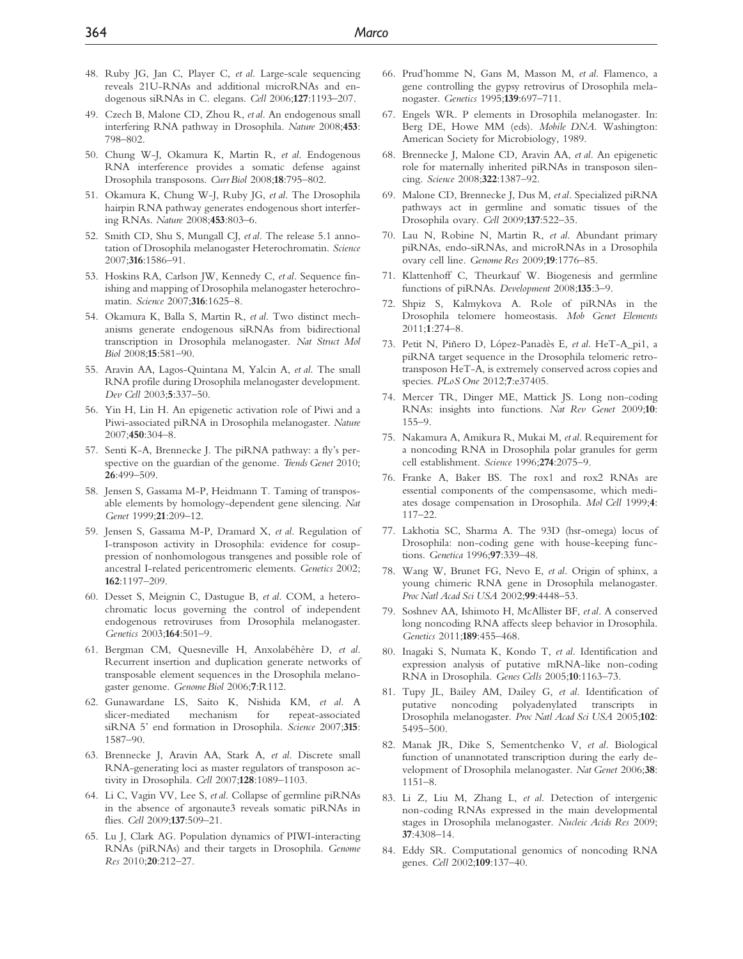- <span id="page-8-0"></span>48. Ruby JG, Jan C, Player C, et al. Large-scale sequencing reveals 21U-RNAs and additional microRNAs and endogenous siRNAs in C. elegans. Cell 2006;127:1193–207.
- 49. Czech B, Malone CD, Zhou R, et al. An endogenous small interfering RNA pathway in Drosophila. Nature 2008;453: 798–802.
- 50. Chung W-J, Okamura K, Martin R, et al. Endogenous RNA interference provides a somatic defense against Drosophila transposons. Curr Biol 2008;18:795–802.
- 51. Okamura K, Chung W-J, Ruby JG, et al. The Drosophila hairpin RNA pathway generates endogenous short interfering RNAs. Nature 2008;453:803–6.
- 52. Smith CD, Shu S, Mungall CJ, et al. The release 5.1 annotation of Drosophila melanogaster Heterochromatin. Science 2007;316:1586–91.
- 53. Hoskins RA, Carlson JW, Kennedy C, et al. Sequence finishing and mapping of Drosophila melanogaster heterochromatin. Science 2007;316:1625–8.
- 54. Okamura K, Balla S, Martin R, et al. Two distinct mechanisms generate endogenous siRNAs from bidirectional transcription in Drosophila melanogaster. Nat Struct Mol Biol 2008;15:581–90.
- 55. Aravin AA, Lagos-Quintana M, Yalcin A, et al. The small RNA profile during Drosophila melanogaster development. Dev Cell 2003;5:337–50.
- 56. Yin H, Lin H. An epigenetic activation role of Piwi and a Piwi-associated piRNA in Drosophila melanogaster. Nature 2007;450:304–8.
- 57. Senti K-A, Brennecke J. The piRNA pathway: a fly's perspective on the guardian of the genome. Trends Genet 2010; 26:499–509.
- 58. Jensen S, Gassama M-P, Heidmann T. Taming of transposable elements by homology-dependent gene silencing. Nat Genet 1999;21:209–12.
- 59. Jensen S, Gassama M-P, Dramard X, et al. Regulation of I-transposon activity in Drosophila: evidence for cosuppression of nonhomologous transgenes and possible role of ancestral I-related pericentromeric elements. Genetics 2002; 162:1197–209.
- 60. Desset S, Meignin C, Dastugue B, et al. COM, a heterochromatic locus governing the control of independent endogenous retroviruses from Drosophila melanogaster. Genetics 2003;164:501–9.
- 61. Bergman CM, Quesneville H, Anxolabéhère D, et al. Recurrent insertion and duplication generate networks of transposable element sequences in the Drosophila melanogaster genome. Genome Biol 2006;7:R112.
- 62. Gunawardane LS, Saito K, Nishida KM, et al. A slicer-mediated mechanism for repeat-associated siRNA 5' end formation in Drosophila. Science 2007;315: 1587–90.
- 63. Brennecke J, Aravin AA, Stark A, et al. Discrete small RNA-generating loci as master regulators of transposon activity in Drosophila. Cell 2007;128:1089–1103.
- 64. Li C, Vagin VV, Lee S, et al. Collapse of germline piRNAs in the absence of argonaute3 reveals somatic piRNAs in flies. Cell 2009;137:509–21.
- 65. Lu J, Clark AG. Population dynamics of PIWI-interacting RNAs (piRNAs) and their targets in Drosophila. Genome Res 2010;20:212–27.
- 66. Prud'homme N, Gans M, Masson M, et al. Flamenco, a gene controlling the gypsy retrovirus of Drosophila melanogaster. Genetics 1995;139:697–711.
- 67. Engels WR. P elements in Drosophila melanogaster. In: Berg DE, Howe MM (eds). Mobile DNA. Washington: American Society for Microbiology, 1989.
- 68. Brennecke J, Malone CD, Aravin AA, et al. An epigenetic role for maternally inherited piRNAs in transposon silencing. Science 2008;322:1387–92.
- 69. Malone CD, Brennecke J, Dus M, et al. Specialized piRNA pathways act in germline and somatic tissues of the Drosophila ovary. Cell 2009;137:522–35.
- 70. Lau N, Robine N, Martin R, et al. Abundant primary piRNAs, endo-siRNAs, and microRNAs in a Drosophila ovary cell line. Genome Res 2009;19:1776–85.
- 71. Klattenhoff C, Theurkauf W. Biogenesis and germline functions of piRNAs. Development 2008;135:3–9.
- 72. Shpiz S, Kalmykova A. Role of piRNAs in the Drosophila telomere homeostasis. Mob Genet Elements 2011;1:274–8.
- 73. Petit N, Piñero D, López-Panadès E, et al. HeT-A\_pi1, a piRNA target sequence in the Drosophila telomeric retrotransposon HeT-A, is extremely conserved across copies and species. PLoS One 2012;7:e37405.
- 74. Mercer TR, Dinger ME, Mattick JS. Long non-coding RNAs: insights into functions. Nat Rev Genet 2009;10: 155–9.
- 75. Nakamura A, Amikura R, Mukai M, et al. Requirement for a noncoding RNA in Drosophila polar granules for germ cell establishment. Science 1996;274:2075–9.
- 76. Franke A, Baker BS. The rox1 and rox2 RNAs are essential components of the compensasome, which mediates dosage compensation in Drosophila. Mol Cell 1999;4: 117–22.
- 77. Lakhotia SC, Sharma A. The 93D (hsr-omega) locus of Drosophila: non-coding gene with house-keeping functions. Genetica 1996;97:339–48.
- 78. Wang W, Brunet FG, Nevo E, et al. Origin of sphinx, a young chimeric RNA gene in Drosophila melanogaster. Proc Natl Acad Sci USA 2002;99:4448–53.
- 79. Soshnev AA, Ishimoto H, McAllister BF, et al. A conserved long noncoding RNA affects sleep behavior in Drosophila. Genetics 2011;189:455–468.
- 80. Inagaki S, Numata K, Kondo T, et al. Identification and expression analysis of putative mRNA-like non-coding RNA in Drosophila. Genes Cells 2005;10:1163–73.
- 81. Tupy JL, Bailey AM, Dailey G, et al. Identification of putative noncoding polyadenylated transcripts in Drosophila melanogaster. Proc Natl Acad Sci USA 2005;102: 5495–500.
- 82. Manak JR, Dike S, Sementchenko V, et al. Biological function of unannotated transcription during the early development of Drosophila melanogaster. Nat Genet 2006;38: 1151–8.
- 83. Li Z, Liu M, Zhang L, et al. Detection of intergenic non-coding RNAs expressed in the main developmental stages in Drosophila melanogaster. Nucleic Acids Res 2009; 37:4308–14.
- 84. Eddy SR. Computational genomics of noncoding RNA genes. Cell 2002;109:137–40.